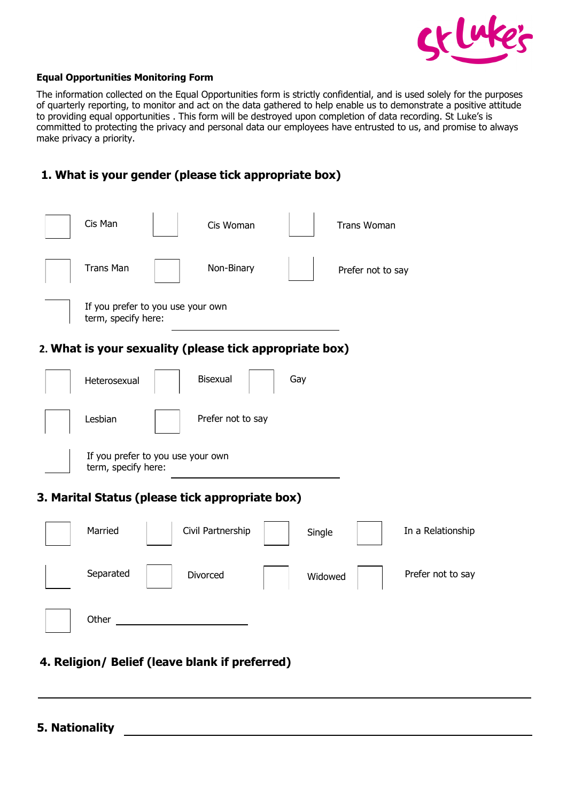

#### **Equal Opportunities Monitoring Form**

The information collected on the Equal Opportunities form is strictly confidential, and is used solely for the purposes of quarterly reporting, to monitor and act on the data gathered to help enable us to demonstrate a positive attitude to providing equal opportunities . This form will be destroyed upon completion of data recording. St Luke's is committed to protecting the privacy and personal data our employees have entrusted to us, and promise to always make privacy a priority.

### **1. What is your gender (please tick appropriate box)**

| Cis Man                                                  | Cis Woman                                               |         | <b>Trans Woman</b> |                   |
|----------------------------------------------------------|---------------------------------------------------------|---------|--------------------|-------------------|
| <b>Trans Man</b>                                         | Non-Binary                                              |         | Prefer not to say  |                   |
| If you prefer to you use your own<br>term, specify here: |                                                         |         |                    |                   |
|                                                          | 2. What is your sexuality (please tick appropriate box) |         |                    |                   |
| Heterosexual                                             | <b>Bisexual</b>                                         | Gay     |                    |                   |
| Lesbian                                                  | Prefer not to say                                       |         |                    |                   |
| If you prefer to you use your own<br>term, specify here: |                                                         |         |                    |                   |
|                                                          | 3. Marital Status (please tick appropriate box)         |         |                    |                   |
| Married                                                  | Civil Partnership                                       | Single  |                    | In a Relationship |
| Separated                                                | Divorced                                                | Widowed |                    | Prefer not to say |
| Other                                                    |                                                         |         |                    |                   |

### **4. Religion/ Belief (leave blank if preferred)**

**5. Nationality**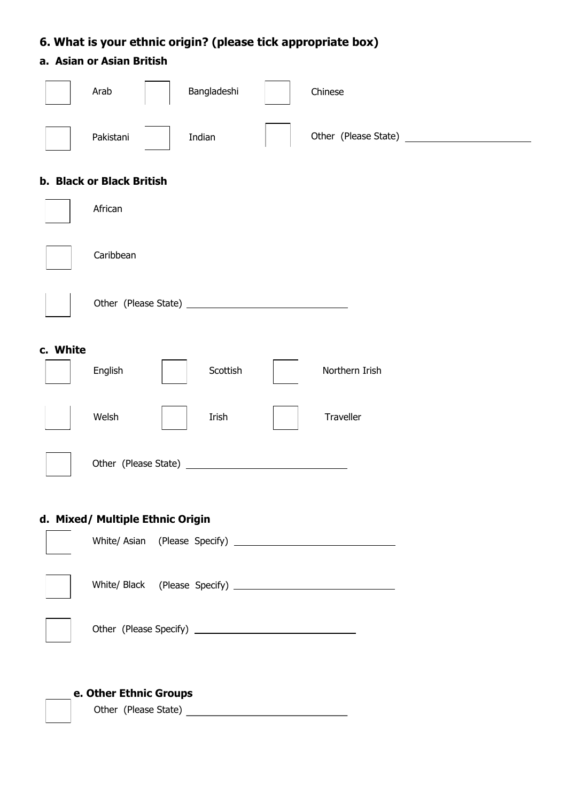# **6. What is your ethnic origin? (please tick appropriate box)**

## **a. Asian or Asian British**

|          | Arab                             | Bangladeshi | Chinese        |  |
|----------|----------------------------------|-------------|----------------|--|
|          | Pakistani                        | Indian      |                |  |
|          | <b>b. Black or Black British</b> |             |                |  |
|          | African                          |             |                |  |
|          | Caribbean                        |             |                |  |
|          |                                  |             |                |  |
| c. White |                                  |             |                |  |
|          | English                          | Scottish    | Northern Irish |  |
|          | Welsh                            | Irish       | Traveller      |  |
|          |                                  |             |                |  |
|          | d. Mixed/ Multiple Ethnic Origin |             |                |  |
|          |                                  |             |                |  |
|          |                                  |             |                |  |
|          |                                  |             |                |  |
|          | e. Other Ethnic Groups           |             |                |  |
|          |                                  |             |                |  |
|          |                                  |             |                |  |